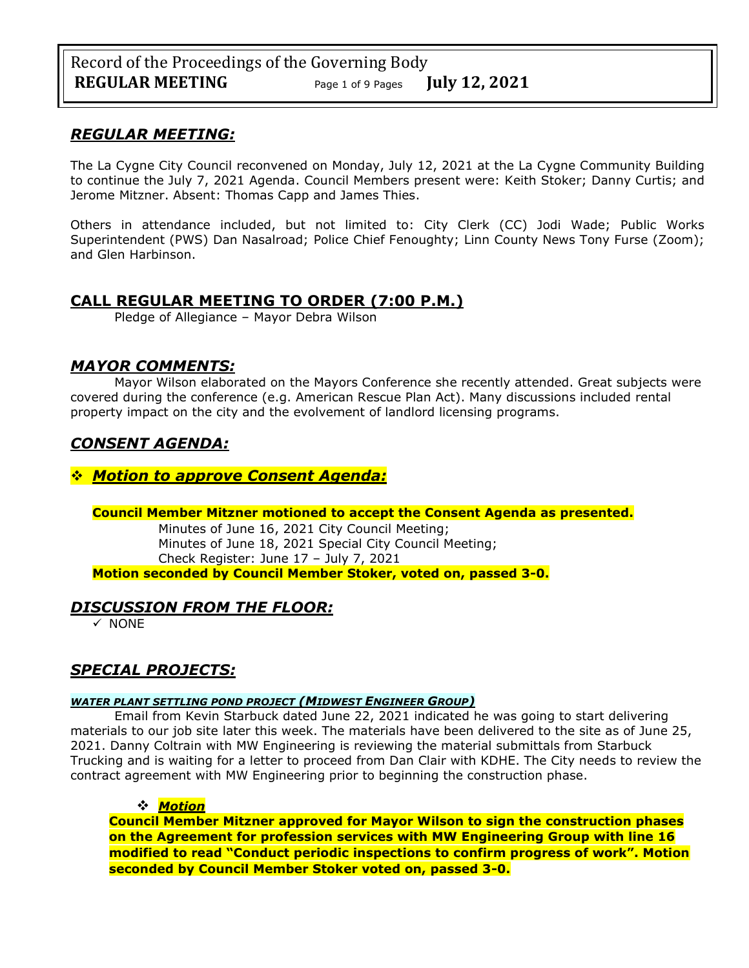## *REGULAR MEETING:*

The La Cygne City Council reconvened on Monday, July 12, 2021 at the La Cygne Community Building to continue the July 7, 2021 Agenda. Council Members present were: Keith Stoker; Danny Curtis; and Jerome Mitzner. Absent: Thomas Capp and James Thies.

Others in attendance included, but not limited to: City Clerk (CC) Jodi Wade; Public Works Superintendent (PWS) Dan Nasalroad; Police Chief Fenoughty; Linn County News Tony Furse (Zoom); and Glen Harbinson.

## **CALL REGULAR MEETING TO ORDER (7:00 P.M.)**

Pledge of Allegiance – Mayor Debra Wilson

## *MAYOR COMMENTS:*

Mayor Wilson elaborated on the Mayors Conference she recently attended. Great subjects were covered during the conference (e.g. American Rescue Plan Act). Many discussions included rental property impact on the city and the evolvement of landlord licensing programs.

# *CONSENT AGENDA:*

## ❖ *Motion to approve Consent Agenda:*

### **Council Member Mitzner motioned to accept the Consent Agenda as presented.**

Minutes of June 16, 2021 City Council Meeting; Minutes of June 18, 2021 Special City Council Meeting; Check Register: June 17 – July 7, 2021 **Motion seconded by Council Member Stoker, voted on, passed 3-0.** 

## *DISCUSSION FROM THE FLOOR:*

✓ NONE

## *SPECIAL PROJECTS:*

### *WATER PLANT SETTLING POND PROJECT (MIDWEST ENGINEER GROUP)*

Email from Kevin Starbuck dated June 22, 2021 indicated he was going to start delivering materials to our job site later this week. The materials have been delivered to the site as of June 25, 2021. Danny Coltrain with MW Engineering is reviewing the material submittals from Starbuck Trucking and is waiting for a letter to proceed from Dan Clair with KDHE. The City needs to review the contract agreement with MW Engineering prior to beginning the construction phase.

## ❖ *Motion*

**Council Member Mitzner approved for Mayor Wilson to sign the construction phases on the Agreement for profession services with MW Engineering Group with line 16 modified to read "Conduct periodic inspections to confirm progress of work". Motion seconded by Council Member Stoker voted on, passed 3-0.**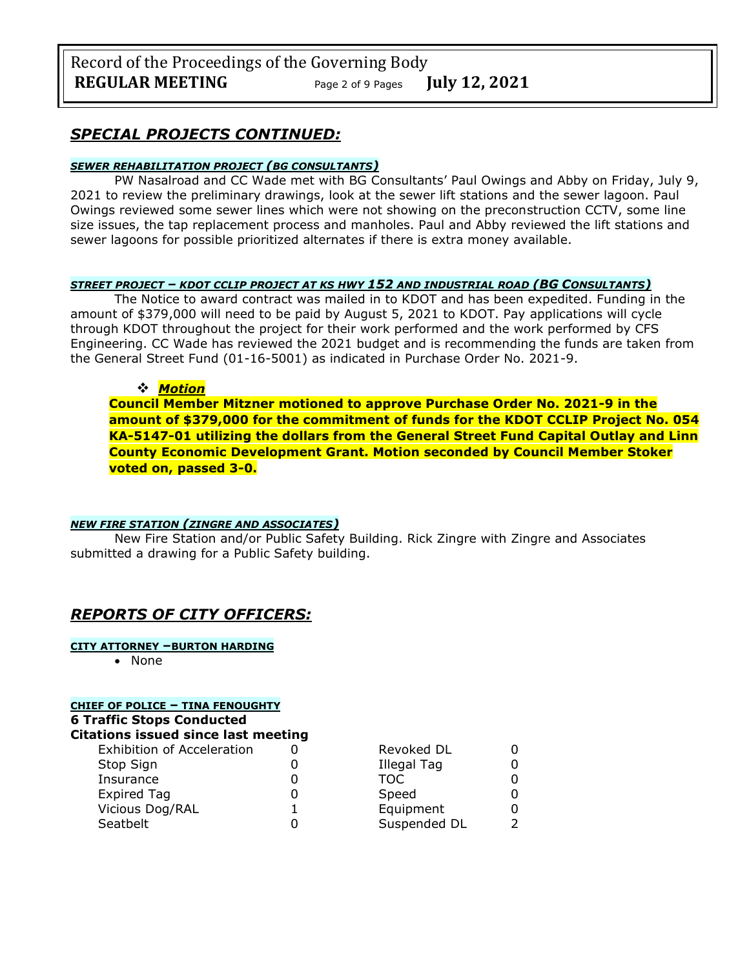Record of the Proceedings of the Governing Body **REGULAR MEETING** Page <sup>2</sup> of 9 Pages **July 12, 2021**

## *SPECIAL PROJECTS CONTINUED:*

#### *SEWER REHABILITATION PROJECT (BG CONSULTANTS)*

PW Nasalroad and CC Wade met with BG Consultants' Paul Owings and Abby on Friday, July 9, 2021 to review the preliminary drawings, look at the sewer lift stations and the sewer lagoon. Paul Owings reviewed some sewer lines which were not showing on the preconstruction CCTV, some line size issues, the tap replacement process and manholes. Paul and Abby reviewed the lift stations and sewer lagoons for possible prioritized alternates if there is extra money available.

#### *STREET PROJECT – KDOT CCLIP PROJECT AT KS HWY 152 AND INDUSTRIAL ROAD (BG CONSULTANTS)*

The Notice to award contract was mailed in to KDOT and has been expedited. Funding in the amount of \$379,000 will need to be paid by August 5, 2021 to KDOT. Pay applications will cycle through KDOT throughout the project for their work performed and the work performed by CFS Engineering. CC Wade has reviewed the 2021 budget and is recommending the funds are taken from the General Street Fund (01-16-5001) as indicated in Purchase Order No. 2021-9.

#### ❖ *Motion*

**Council Member Mitzner motioned to approve Purchase Order No. 2021-9 in the amount of \$379,000 for the commitment of funds for the KDOT CCLIP Project No. 054 KA-5147-01 utilizing the dollars from the General Street Fund Capital Outlay and Linn County Economic Development Grant. Motion seconded by Council Member Stoker voted on, passed 3-0.**

#### *NEW FIRE STATION (ZINGRE AND ASSOCIATES)*

New Fire Station and/or Public Safety Building. Rick Zingre with Zingre and Associates submitted a drawing for a Public Safety building.

## *REPORTS OF CITY OFFICERS:*

#### **CITY ATTORNEY –BURTON HARDING**

• None

| <b>CHIEF OF POLICE - TINA FENOUGHTY</b><br><b>6 Traffic Stops Conducted</b><br><b>Citations issued since last meeting</b> |  |              |               |  |                                   |  |             |   |
|---------------------------------------------------------------------------------------------------------------------------|--|--------------|---------------|--|-----------------------------------|--|-------------|---|
|                                                                                                                           |  |              |               |  | <b>Exhibition of Acceleration</b> |  | Revoked DL  | 0 |
|                                                                                                                           |  |              |               |  | Stop Sign                         |  | Illegal Tag | 0 |
| Insurance                                                                                                                 |  | TOC.         | 0             |  |                                   |  |             |   |
| <b>Expired Tag</b>                                                                                                        |  | Speed        | 0             |  |                                   |  |             |   |
| Vicious Dog/RAL                                                                                                           |  | Equipment    | 0             |  |                                   |  |             |   |
| Seatbelt                                                                                                                  |  | Suspended DL | $\mathcal{P}$ |  |                                   |  |             |   |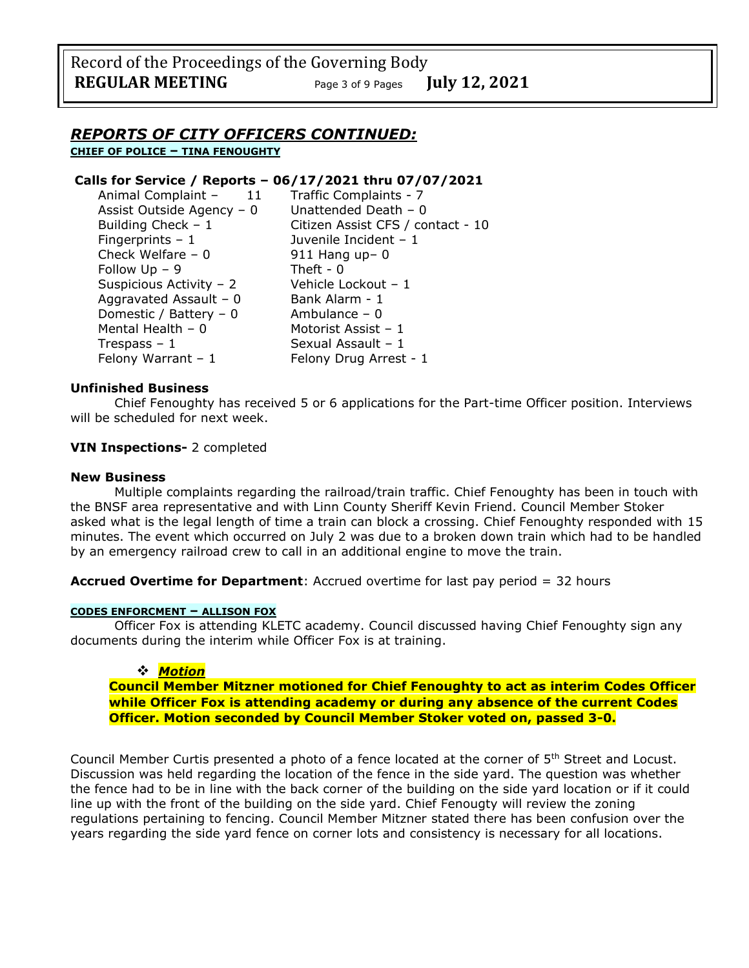## *REPORTS OF CITY OFFICERS CONTINUED:*

**CHIEF OF POLICE – TINA FENOUGHTY**

### **Calls for Service / Reports – 06/17/2021 thru 07/07/2021**

| Animal Complaint -<br>11  | Traffic Complaints - 7            |  |
|---------------------------|-----------------------------------|--|
| Assist Outside Agency – 0 | Unattended Death $-0$             |  |
| Building Check $-1$       | Citizen Assist CFS / contact - 10 |  |
| Fingerprints $-1$         | Juvenile Incident - 1             |  |
| Check Welfare - 0         | $911$ Hang up- 0                  |  |
| Follow Up – 9             | Theft - $0$                       |  |
| Suspicious Activity - 2   | Vehicle Lockout - 1               |  |
| Aggravated Assault - 0    | Bank Alarm - 1                    |  |
| Domestic / Battery - 0    | Ambulance $-0$                    |  |
| Mental Health - 0         | Motorist Assist - 1               |  |
| Trespass – $1$            | Sexual Assault - 1                |  |
| Felony Warrant - 1        | Felony Drug Arrest - 1            |  |
|                           |                                   |  |

#### **Unfinished Business**

Chief Fenoughty has received 5 or 6 applications for the Part-time Officer position. Interviews will be scheduled for next week.

#### **VIN Inspections-** 2 completed

#### **New Business**

Multiple complaints regarding the railroad/train traffic. Chief Fenoughty has been in touch with the BNSF area representative and with Linn County Sheriff Kevin Friend. Council Member Stoker asked what is the legal length of time a train can block a crossing. Chief Fenoughty responded with 15 minutes. The event which occurred on July 2 was due to a broken down train which had to be handled by an emergency railroad crew to call in an additional engine to move the train.

**Accrued Overtime for Department**: Accrued overtime for last pay period = 32 hours

#### **CODES ENFORCMENT – ALLISON FOX**

Officer Fox is attending KLETC academy. Council discussed having Chief Fenoughty sign any documents during the interim while Officer Fox is at training.

#### ❖ *Motion*

**Council Member Mitzner motioned for Chief Fenoughty to act as interim Codes Officer while Officer Fox is attending academy or during any absence of the current Codes Officer. Motion seconded by Council Member Stoker voted on, passed 3-0.**

Council Member Curtis presented a photo of a fence located at the corner of 5<sup>th</sup> Street and Locust. Discussion was held regarding the location of the fence in the side yard. The question was whether the fence had to be in line with the back corner of the building on the side yard location or if it could line up with the front of the building on the side yard. Chief Fenougty will review the zoning regulations pertaining to fencing. Council Member Mitzner stated there has been confusion over the years regarding the side yard fence on corner lots and consistency is necessary for all locations.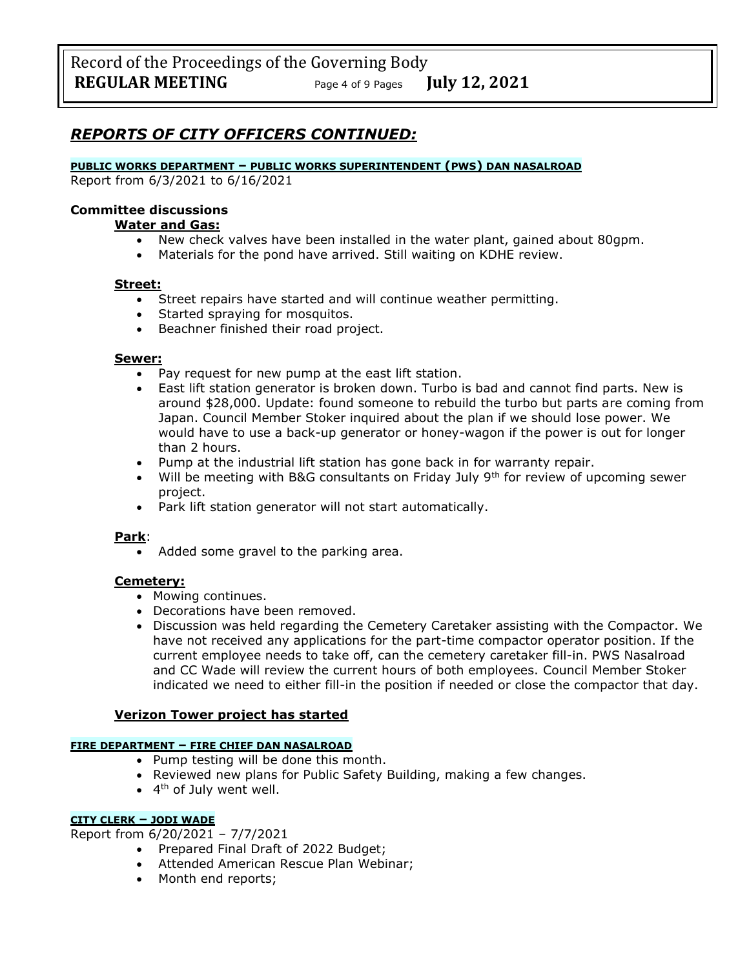## *REPORTS OF CITY OFFICERS CONTINUED:*

#### **PUBLIC WORKS DEPARTMENT – PUBLIC WORKS SUPERINTENDENT (PWS) DAN NASALROAD**

Report from 6/3/2021 to 6/16/2021

#### **Committee discussions**

#### **Water and Gas:**

- New check valves have been installed in the water plant, gained about 80gpm.
- Materials for the pond have arrived. Still waiting on KDHE review.

#### **Street:**

- Street repairs have started and will continue weather permitting.
- Started spraying for mosquitos.
- Beachner finished their road project.

#### **Sewer:**

- Pay request for new pump at the east lift station.
- East lift station generator is broken down. Turbo is bad and cannot find parts. New is around \$28,000. Update: found someone to rebuild the turbo but parts are coming from Japan. Council Member Stoker inquired about the plan if we should lose power. We would have to use a back-up generator or honey-wagon if the power is out for longer than 2 hours.
- Pump at the industrial lift station has gone back in for warranty repair.
- Will be meeting with B&G consultants on Friday July  $9<sup>th</sup>$  for review of upcoming sewer project.
- Park lift station generator will not start automatically.

### **Park**:

• Added some gravel to the parking area.

### **Cemetery:**

- Mowing continues.
- Decorations have been removed.
- Discussion was held regarding the Cemetery Caretaker assisting with the Compactor. We have not received any applications for the part-time compactor operator position. If the current employee needs to take off, can the cemetery caretaker fill-in. PWS Nasalroad and CC Wade will review the current hours of both employees. Council Member Stoker indicated we need to either fill-in the position if needed or close the compactor that day.

### **Verizon Tower project has started**

#### **FIRE DEPARTMENT – FIRE CHIEF DAN NASALROAD**

- Pump testing will be done this month.
- Reviewed new plans for Public Safety Building, making a few changes.
- 4<sup>th</sup> of July went well.

#### **CITY CLERK – JODI WADE**

Report from 6/20/2021 – 7/7/2021

- Prepared Final Draft of 2022 Budget;
- Attended American Rescue Plan Webinar;
- Month end reports;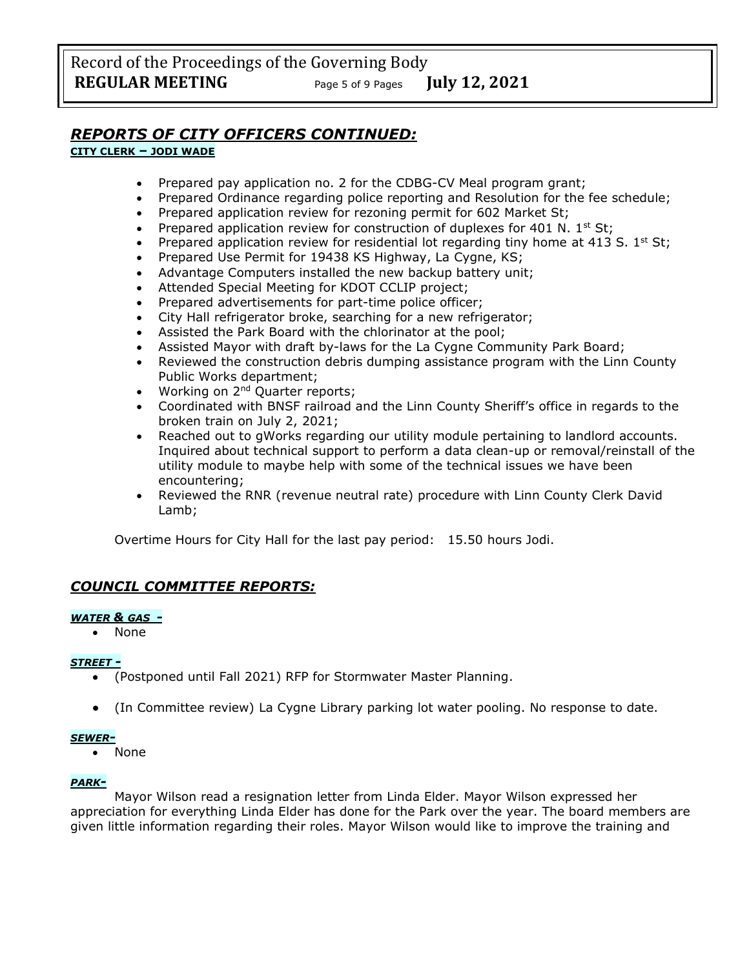## *REPORTS OF CITY OFFICERS CONTINUED:*

## **CITY CLERK – JODI WADE**

- Prepared pay application no. 2 for the CDBG-CV Meal program grant;
- Prepared Ordinance regarding police reporting and Resolution for the fee schedule;
- Prepared application review for rezoning permit for 602 Market St;
- Prepared application review for construction of duplexes for 401 N. 1st St;
- Prepared application review for residential lot regarding tiny home at 413 S. 1<sup>st</sup> St;
- Prepared Use Permit for 19438 KS Highway, La Cygne, KS;
- Advantage Computers installed the new backup battery unit;
- Attended Special Meeting for KDOT CCLIP project;
- Prepared advertisements for part-time police officer;
- City Hall refrigerator broke, searching for a new refrigerator;
- Assisted the Park Board with the chlorinator at the pool;
- Assisted Mayor with draft by-laws for the La Cygne Community Park Board;
- Reviewed the construction debris dumping assistance program with the Linn County Public Works department;
- Working on 2<sup>nd</sup> Quarter reports;
- Coordinated with BNSF railroad and the Linn County Sheriff's office in regards to the broken train on July 2, 2021;
- Reached out to gWorks regarding our utility module pertaining to landlord accounts. Inquired about technical support to perform a data clean-up or removal/reinstall of the utility module to maybe help with some of the technical issues we have been encountering;
- Reviewed the RNR (revenue neutral rate) procedure with Linn County Clerk David Lamb;

Overtime Hours for City Hall for the last pay period: 15.50 hours Jodi.

## *COUNCIL COMMITTEE REPORTS:*

### *WATER & GAS -*

• None

### *STREET -*

- (Postponed until Fall 2021) RFP for Stormwater Master Planning.
- (In Committee review) La Cygne Library parking lot water pooling. No response to date.

#### *SEWER-*

• None

### *PARK-*

Mayor Wilson read a resignation letter from Linda Elder. Mayor Wilson expressed her appreciation for everything Linda Elder has done for the Park over the year. The board members are given little information regarding their roles. Mayor Wilson would like to improve the training and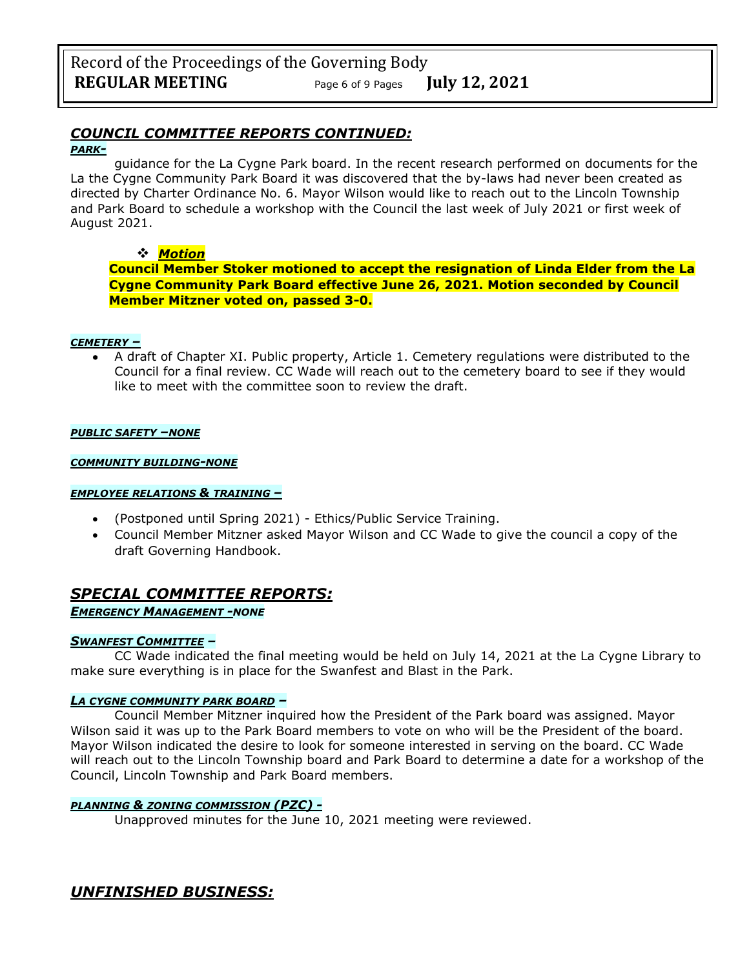# *COUNCIL COMMITTEE REPORTS CONTINUED:*

#### *PARK-*

guidance for the La Cygne Park board. In the recent research performed on documents for the La the Cygne Community Park Board it was discovered that the by-laws had never been created as directed by Charter Ordinance No. 6. Mayor Wilson would like to reach out to the Lincoln Township and Park Board to schedule a workshop with the Council the last week of July 2021 or first week of August 2021.

## ❖ *Motion*

**Council Member Stoker motioned to accept the resignation of Linda Elder from the La Cygne Community Park Board effective June 26, 2021. Motion seconded by Council Member Mitzner voted on, passed 3-0.**

### *CEMETERY –*

• A draft of Chapter XI. Public property, Article 1. Cemetery regulations were distributed to the Council for a final review. CC Wade will reach out to the cemetery board to see if they would like to meet with the committee soon to review the draft.

#### *PUBLIC SAFETY –NONE*

#### *COMMUNITY BUILDING-NONE*

#### *EMPLOYEE RELATIONS & TRAINING –*

- (Postponed until Spring 2021) Ethics/Public Service Training.
- Council Member Mitzner asked Mayor Wilson and CC Wade to give the council a copy of the draft Governing Handbook.

## *SPECIAL COMMITTEE REPORTS:*

## *EMERGENCY MANAGEMENT -NONE*

### *SWANFEST COMMITTEE –*

CC Wade indicated the final meeting would be held on July 14, 2021 at the La Cygne Library to make sure everything is in place for the Swanfest and Blast in the Park.

### *LA CYGNE COMMUNITY PARK BOARD –*

Council Member Mitzner inquired how the President of the Park board was assigned. Mayor Wilson said it was up to the Park Board members to vote on who will be the President of the board. Mayor Wilson indicated the desire to look for someone interested in serving on the board. CC Wade will reach out to the Lincoln Township board and Park Board to determine a date for a workshop of the Council, Lincoln Township and Park Board members.

### *PLANNING & ZONING COMMISSION (PZC) -*

Unapproved minutes for the June 10, 2021 meeting were reviewed.

*UNFINISHED BUSINESS:*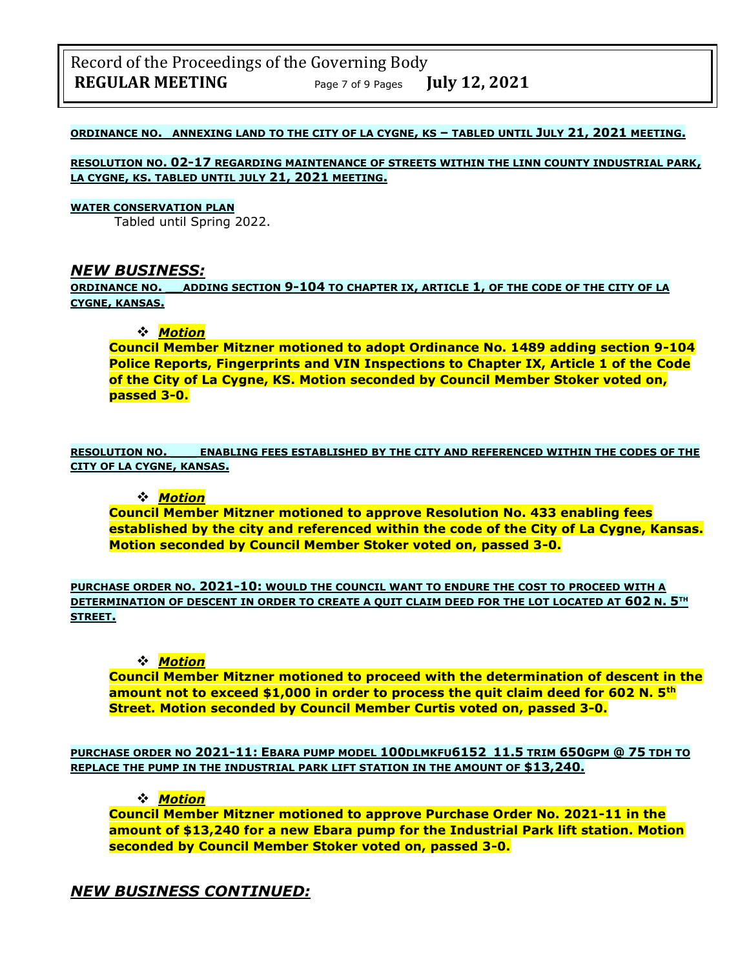#### **ORDINANCE NO. ANNEXING LAND TO THE CITY OF LA CYGNE, KS – TABLED UNTIL JULY 21, 2021 MEETING.**

**RESOLUTION NO. 02-17 REGARDING MAINTENANCE OF STREETS WITHIN THE LINN COUNTY INDUSTRIAL PARK, LA CYGNE, KS. TABLED UNTIL JULY 21, 2021 MEETING.**

#### **WATER CONSERVATION PLAN**

Tabled until Spring 2022.

### *NEW BUSINESS:*

**ORDINANCE NO. \_\_ADDING SECTION 9-104 TO CHAPTER IX, ARTICLE 1, OF THE CODE OF THE CITY OF LA CYGNE, KANSAS.**

#### ❖ *Motion*

**Council Member Mitzner motioned to adopt Ordinance No. 1489 adding section 9-104 Police Reports, Fingerprints and VIN Inspections to Chapter IX, Article 1 of the Code of the City of La Cygne, KS. Motion seconded by Council Member Stoker voted on, passed 3-0.**

**RESOLUTION NO. \_\_\_ ENABLING FEES ESTABLISHED BY THE CITY AND REFERENCED WITHIN THE CODES OF THE CITY OF LA CYGNE, KANSAS.**

#### ❖ *Motion*

**Council Member Mitzner motioned to approve Resolution No. 433 enabling fees established by the city and referenced within the code of the City of La Cygne, Kansas. Motion seconded by Council Member Stoker voted on, passed 3-0.**

**PURCHASE ORDER NO. 2021-10: WOULD THE COUNCIL WANT TO ENDURE THE COST TO PROCEED WITH A DETERMINATION OF DESCENT IN ORDER TO CREATE A QUIT CLAIM DEED FOR THE LOT LOCATED AT 602 N. 5TH STREET.**

#### ❖ *Motion*

**Council Member Mitzner motioned to proceed with the determination of descent in the amount not to exceed \$1,000 in order to process the quit claim deed for 602 N. 5th Street. Motion seconded by Council Member Curtis voted on, passed 3-0.**

**PURCHASE ORDER NO 2021-11: EBARA PUMP MODEL 100DLMKFU6152 11.5 TRIM 650GPM @ 75 TDH TO REPLACE THE PUMP IN THE INDUSTRIAL PARK LIFT STATION IN THE AMOUNT OF \$13,240.**

#### ❖ *Motion*

**Council Member Mitzner motioned to approve Purchase Order No. 2021-11 in the amount of \$13,240 for a new Ebara pump for the Industrial Park lift station. Motion seconded by Council Member Stoker voted on, passed 3-0.**

## *NEW BUSINESS CONTINUED:*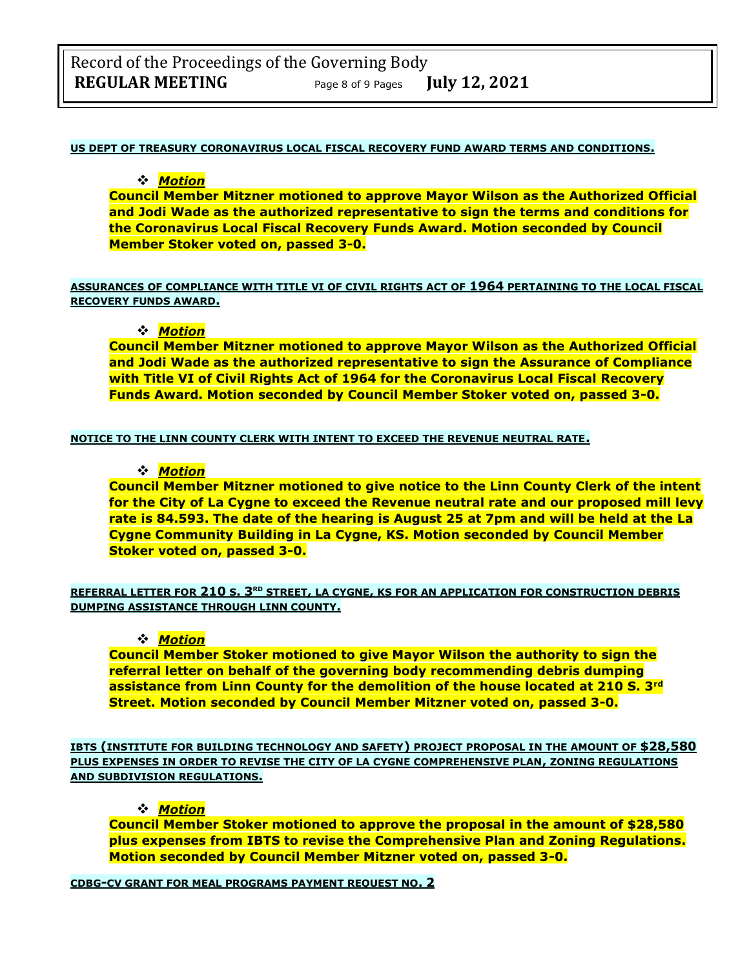#### **US DEPT OF TREASURY CORONAVIRUS LOCAL FISCAL RECOVERY FUND AWARD TERMS AND CONDITIONS.**

#### ❖ *Motion*

**Council Member Mitzner motioned to approve Mayor Wilson as the Authorized Official and Jodi Wade as the authorized representative to sign the terms and conditions for the Coronavirus Local Fiscal Recovery Funds Award. Motion seconded by Council Member Stoker voted on, passed 3-0.**

#### **ASSURANCES OF COMPLIANCE WITH TITLE VI OF CIVIL RIGHTS ACT OF 1964 PERTAINING TO THE LOCAL FISCAL RECOVERY FUNDS AWARD.**

### ❖ *Motion*

**Council Member Mitzner motioned to approve Mayor Wilson as the Authorized Official and Jodi Wade as the authorized representative to sign the Assurance of Compliance with Title VI of Civil Rights Act of 1964 for the Coronavirus Local Fiscal Recovery Funds Award. Motion seconded by Council Member Stoker voted on, passed 3-0.**

#### **NOTICE TO THE LINN COUNTY CLERK WITH INTENT TO EXCEED THE REVENUE NEUTRAL RATE.**

### ❖ *Motion*

**Council Member Mitzner motioned to give notice to the Linn County Clerk of the intent for the City of La Cygne to exceed the Revenue neutral rate and our proposed mill levy rate is 84.593. The date of the hearing is August 25 at 7pm and will be held at the La Cygne Community Building in La Cygne, KS. Motion seconded by Council Member Stoker voted on, passed 3-0.**

**REFERRAL LETTER FOR 210 S. 3RD STREET, LA CYGNE, KS FOR AN APPLICATION FOR CONSTRUCTION DEBRIS DUMPING ASSISTANCE THROUGH LINN COUNTY.**

### ❖ *Motion*

**Council Member Stoker motioned to give Mayor Wilson the authority to sign the referral letter on behalf of the governing body recommending debris dumping assistance from Linn County for the demolition of the house located at 210 S. 3rd Street. Motion seconded by Council Member Mitzner voted on, passed 3-0.**

**IBTS (INSTITUTE FOR BUILDING TECHNOLOGY AND SAFETY) PROJECT PROPOSAL IN THE AMOUNT OF \$28,580 PLUS EXPENSES IN ORDER TO REVISE THE CITY OF LA CYGNE COMPREHENSIVE PLAN, ZONING REGULATIONS AND SUBDIVISION REGULATIONS.**

#### ❖ *Motion*

**Council Member Stoker motioned to approve the proposal in the amount of \$28,580 plus expenses from IBTS to revise the Comprehensive Plan and Zoning Regulations. Motion seconded by Council Member Mitzner voted on, passed 3-0.**

**CDBG-CV GRANT FOR MEAL PROGRAMS PAYMENT REQUEST NO. 2**